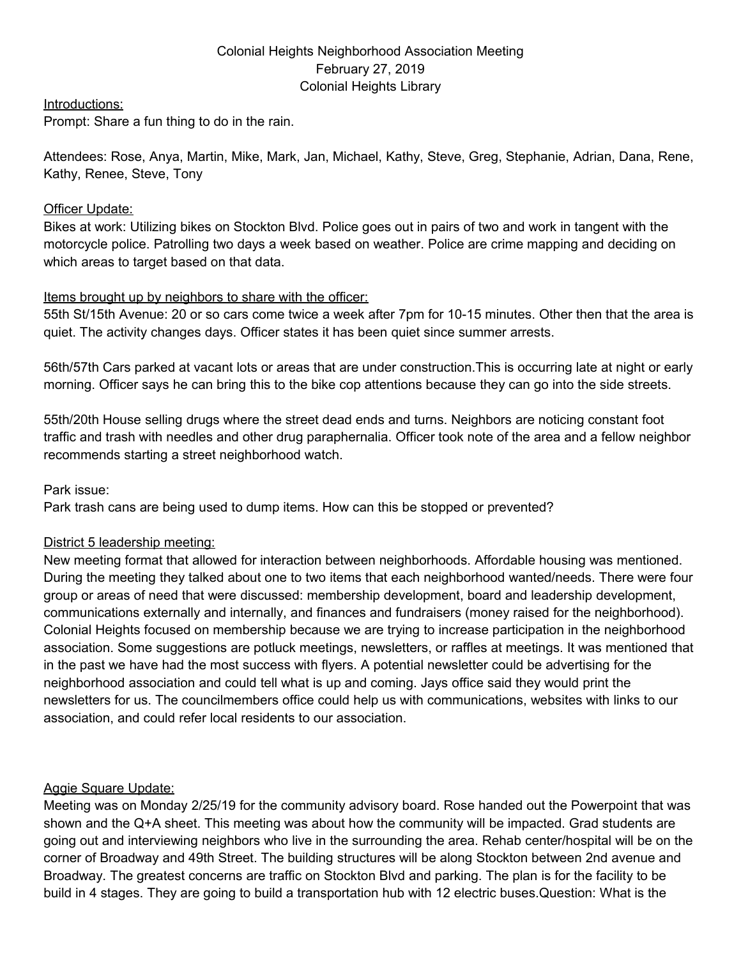## Colonial Heights Neighborhood Association Meeting February 27, 2019 Colonial Heights Library

Introductions:

Prompt: Share a fun thing to do in the rain.

Attendees: Rose, Anya, Martin, Mike, Mark, Jan, Michael, Kathy, Steve, Greg, Stephanie, Adrian, Dana, Rene, Kathy, Renee, Steve, Tony

#### Officer Update:

Bikes at work: Utilizing bikes on Stockton Blvd. Police goes out in pairs of two and work in tangent with the motorcycle police. Patrolling two days a week based on weather. Police are crime mapping and deciding on which areas to target based on that data.

### Items brought up by neighbors to share with the officer:

55th St/15th Avenue: 20 or so cars come twice a week after 7pm for 10-15 minutes. Other then that the area is quiet. The activity changes days. Officer states it has been quiet since summer arrests.

56th/57th Cars parked at vacant lots or areas that are under construction.This is occurring late at night or early morning. Officer says he can bring this to the bike cop attentions because they can go into the side streets.

55th/20th House selling drugs where the street dead ends and turns. Neighbors are noticing constant foot traffic and trash with needles and other drug paraphernalia. Officer took note of the area and a fellow neighbor recommends starting a street neighborhood watch.

Park issue:

Park trash cans are being used to dump items. How can this be stopped or prevented?

### District 5 leadership meeting:

New meeting format that allowed for interaction between neighborhoods. Affordable housing was mentioned. During the meeting they talked about one to two items that each neighborhood wanted/needs. There were four group or areas of need that were discussed: membership development, board and leadership development, communications externally and internally, and finances and fundraisers (money raised for the neighborhood). Colonial Heights focused on membership because we are trying to increase participation in the neighborhood association. Some suggestions are potluck meetings, newsletters, or raffles at meetings. It was mentioned that in the past we have had the most success with flyers. A potential newsletter could be advertising for the neighborhood association and could tell what is up and coming. Jays office said they would print the newsletters for us. The councilmembers office could help us with communications, websites with links to our association, and could refer local residents to our association.

### Aggie Square Update:

Meeting was on Monday 2/25/19 for the community advisory board. Rose handed out the Powerpoint that was shown and the Q+A sheet. This meeting was about how the community will be impacted. Grad students are going out and interviewing neighbors who live in the surrounding the area. Rehab center/hospital will be on the corner of Broadway and 49th Street. The building structures will be along Stockton between 2nd avenue and Broadway. The greatest concerns are traffic on Stockton Blvd and parking. The plan is for the facility to be build in 4 stages. They are going to build a transportation hub with 12 electric buses.Question: What is the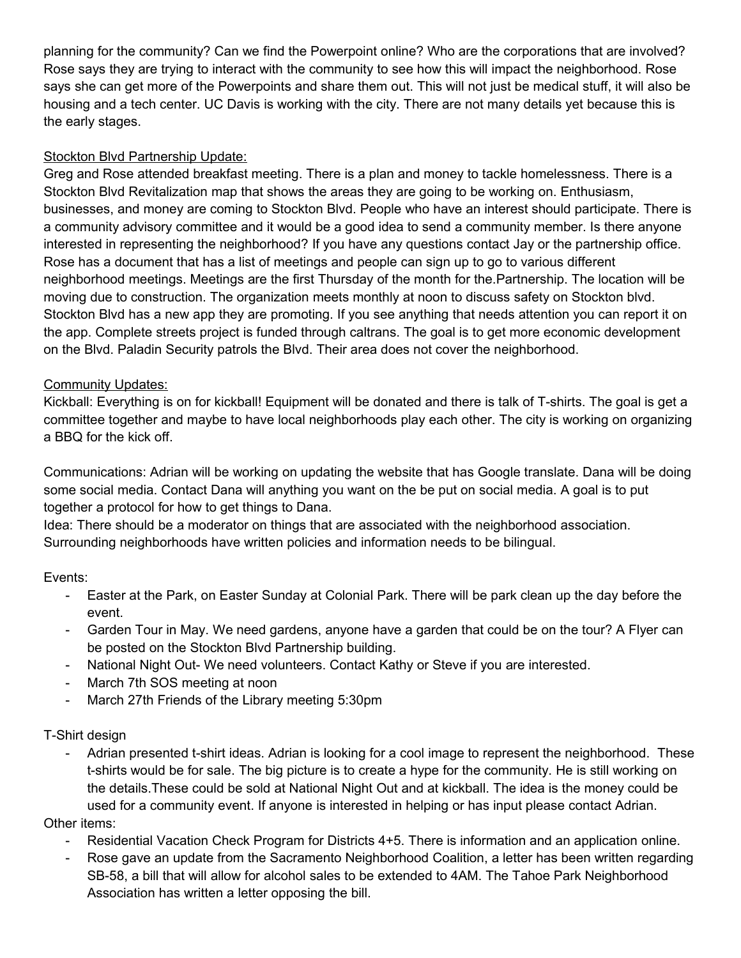planning for the community? Can we find the Powerpoint online? Who are the corporations that are involved? Rose says they are trying to interact with the community to see how this will impact the neighborhood. Rose says she can get more of the Powerpoints and share them out. This will not just be medical stuff, it will also be housing and a tech center. UC Davis is working with the city. There are not many details yet because this is the early stages.

# Stockton Blvd Partnership Update:

Greg and Rose attended breakfast meeting. There is a plan and money to tackle homelessness. There is a Stockton Blvd Revitalization map that shows the areas they are going to be working on. Enthusiasm, businesses, and money are coming to Stockton Blvd. People who have an interest should participate. There is a community advisory committee and it would be a good idea to send a community member. Is there anyone interested in representing the neighborhood? If you have any questions contact Jay or the partnership office. Rose has a document that has a list of meetings and people can sign up to go to various different neighborhood meetings. Meetings are the first Thursday of the month for the.Partnership. The location will be moving due to construction. The organization meets monthly at noon to discuss safety on Stockton blvd. Stockton Blvd has a new app they are promoting. If you see anything that needs attention you can report it on the app. Complete streets project is funded through caltrans. The goal is to get more economic development on the Blvd. Paladin Security patrols the Blvd. Their area does not cover the neighborhood.

## Community Updates:

Kickball: Everything is on for kickball! Equipment will be donated and there is talk of T-shirts. The goal is get a committee together and maybe to have local neighborhoods play each other. The city is working on organizing a BBQ for the kick off.

Communications: Adrian will be working on updating the website that has Google translate. Dana will be doing some social media. Contact Dana will anything you want on the be put on social media. A goal is to put together a protocol for how to get things to Dana.

Idea: There should be a moderator on things that are associated with the neighborhood association. Surrounding neighborhoods have written policies and information needs to be bilingual.

## Events:

- Easter at the Park, on Easter Sunday at Colonial Park. There will be park clean up the day before the event.
- Garden Tour in May. We need gardens, anyone have a garden that could be on the tour? A Flyer can be posted on the Stockton Blvd Partnership building.
- National Night Out- We need volunteers. Contact Kathy or Steve if you are interested.
- March 7th SOS meeting at noon
- March 27th Friends of the Library meeting 5:30pm

## T-Shirt design

Adrian presented t-shirt ideas. Adrian is looking for a cool image to represent the neighborhood. These t-shirts would be for sale. The big picture is to create a hype for the community. He is still working on the details.These could be sold at National Night Out and at kickball. The idea is the money could be used for a community event. If anyone is interested in helping or has input please contact Adrian.

## Other items:

- Residential Vacation Check Program for Districts 4+5. There is information and an application online.
- Rose gave an update from the Sacramento Neighborhood Coalition, a letter has been written regarding SB-58, a bill that will allow for alcohol sales to be extended to 4AM. The Tahoe Park Neighborhood Association has written a letter opposing the bill.